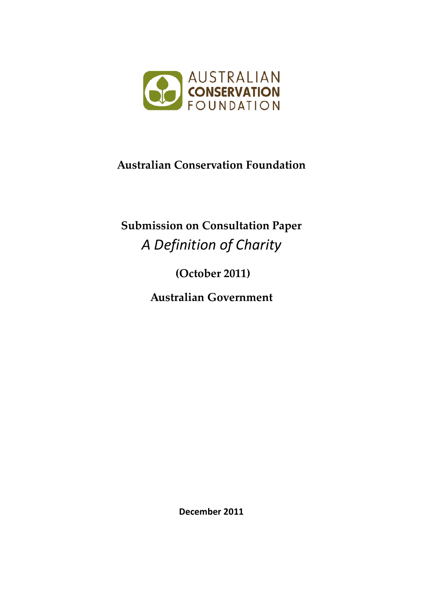

# **Australian Conservation Foundation**

# **Submission on Consultation Paper**  *A Definition of Charity*

**(October 2011)**

**Australian Government**

**December 2011**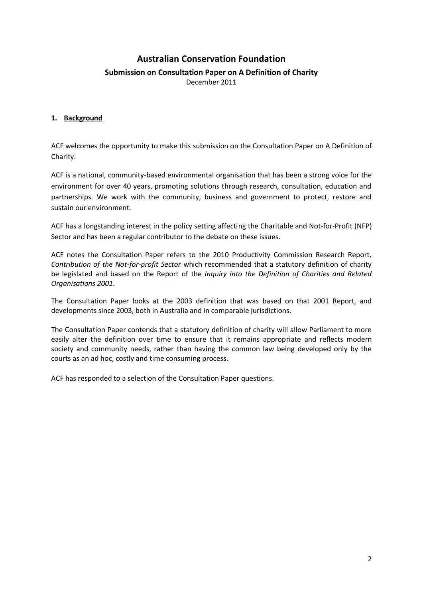## **Australian Conservation Foundation**

### **Submission on Consultation Paper on A Definition of Charity**

December 2011

#### **1. Background**

ACF welcomes the opportunity to make this submission on the Consultation Paper on A Definition of Charity.

ACF is a national, community-based environmental organisation that has been a strong voice for the environment for over 40 years, promoting solutions through research, consultation, education and partnerships. We work with the community, business and government to protect, restore and sustain our environment.

ACF has a longstanding interest in the policy setting affecting the Charitable and Not-for-Profit (NFP) Sector and has been a regular contributor to the debate on these issues.

ACF notes the Consultation Paper refers to the 2010 Productivity Commission Research Report, *Contribution of the Not-for-profit Sector* which recommended that a statutory definition of charity be legislated and based on the Report of the *Inquiry into the Definition of Charities and Related Organisations 2001*.

The Consultation Paper looks at the 2003 definition that was based on that 2001 Report, and developments since 2003, both in Australia and in comparable jurisdictions.

The Consultation Paper contends that a statutory definition of charity will allow Parliament to more easily alter the definition over time to ensure that it remains appropriate and reflects modern society and community needs, rather than having the common law being developed only by the courts as an ad hoc, costly and time consuming process.

ACF has responded to a selection of the Consultation Paper questions.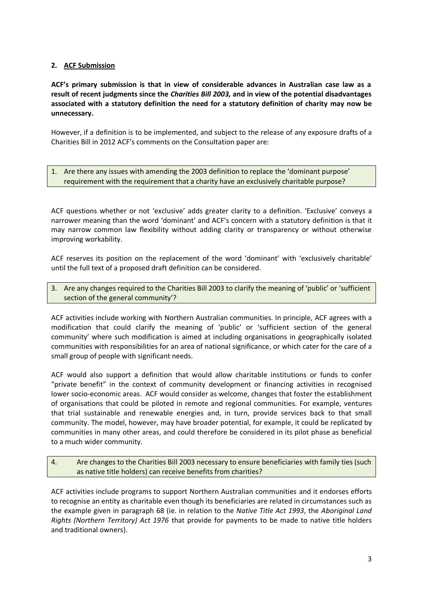#### **2. ACF Submission**

**ACF's primary submission is that in view of considerable advances in Australian case law as a result of recent judgments since the** *Charities Bill 2003,* **and in view of the potential disadvantages associated with a statutory definition the need for a statutory definition of charity may now be unnecessary.** 

However, if a definition is to be implemented, and subject to the release of any exposure drafts of a Charities Bill in 2012 ACF's comments on the Consultation paper are:

1. Are there any issues with amending the 2003 definition to replace the 'dominant purpose' requirement with the requirement that a charity have an exclusively charitable purpose?

ACF questions whether or not 'exclusive' adds greater clarity to a definition. 'Exclusive' conveys a narrower meaning than the word 'dominant' and ACF's concern with a statutory definition is that it may narrow common law flexibility without adding clarity or transparency or without otherwise improving workability.

ACF reserves its position on the replacement of the word 'dominant' with 'exclusively charitable' until the full text of a proposed draft definition can be considered.

3. Are any changes required to the Charities Bill 2003 to clarify the meaning of 'public' or 'sufficient section of the general community'?

ACF activities include working with Northern Australian communities. In principle, ACF agrees with a modification that could clarify the meaning of 'public' or 'sufficient section of the general community' where such modification is aimed at including organisations in geographically isolated communities with responsibilities for an area of national significance, or which cater for the care of a small group of people with significant needs.

ACF would also support a definition that would allow charitable institutions or funds to confer "private benefit" in the context of community development or financing activities in recognised lower socio-economic areas. ACF would consider as welcome, changes that foster the establishment of organisations that could be piloted in remote and regional communities. For example, ventures that trial sustainable and renewable energies and, in turn, provide services back to that small community. The model, however, may have broader potential, for example, it could be replicated by communities in many other areas, and could therefore be considered in its pilot phase as beneficial to a much wider community.

4. Are changes to the Charities Bill 2003 necessary to ensure beneficiaries with family ties (such as native title holders) can receive benefits from charities?

ACF activities include programs to support Northern Australian communities and it endorses efforts to recognise an entity as charitable even though its beneficiaries are related in circumstances such as the example given in paragraph 68 (ie. in relation to the *Native Title Act 1993*, the *Aboriginal Land Rights (Northern Territory) Act 1976* that provide for payments to be made to native title holders and traditional owners).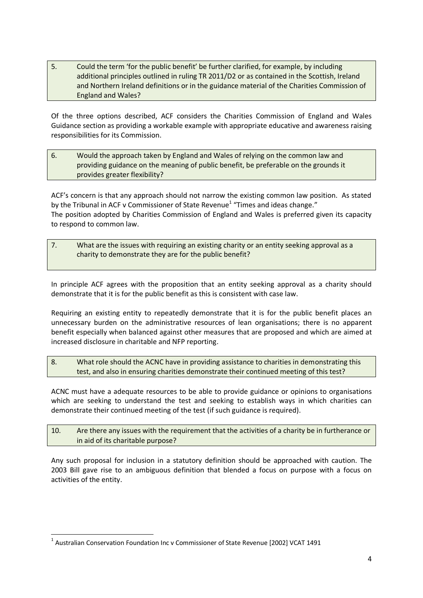5. Could the term 'for the public benefit' be further clarified, for example, by including additional principles outlined in ruling TR 2011/D2 or as contained in the Scottish, Ireland and Northern Ireland definitions or in the guidance material of the Charities Commission of England and Wales?

Of the three options described, ACF considers the Charities Commission of England and Wales Guidance section as providing a workable example with appropriate educative and awareness raising responsibilities for its Commission.

6. Would the approach taken by England and Wales of relying on the common law and providing guidance on the meaning of public benefit, be preferable on the grounds it provides greater flexibility?

ACF's concern is that any approach should not narrow the existing common law position. As stated by the Tribunal in ACF v Commissioner of State Revenue<sup>1</sup> "Times and ideas change." The position adopted by Charities Commission of England and Wales is preferred given its capacity to respond to common law.

7. What are the issues with requiring an existing charity or an entity seeking approval as a charity to demonstrate they are for the public benefit?

In principle ACF agrees with the proposition that an entity seeking approval as a charity should demonstrate that it is for the public benefit as this is consistent with case law.

Requiring an existing entity to repeatedly demonstrate that it is for the public benefit places an unnecessary burden on the administrative resources of lean organisations; there is no apparent benefit especially when balanced against other measures that are proposed and which are aimed at increased disclosure in charitable and NFP reporting.

8. What role should the ACNC have in providing assistance to charities in demonstrating this test, and also in ensuring charities demonstrate their continued meeting of this test?

ACNC must have a adequate resources to be able to provide guidance or opinions to organisations which are seeking to understand the test and seeking to establish ways in which charities can demonstrate their continued meeting of the test (if such guidance is required).

10. Are there any issues with the requirement that the activities of a charity be in furtherance or in aid of its charitable purpose?

Any such proposal for inclusion in a statutory definition should be approached with caution. The 2003 Bill gave rise to an ambiguous definition that blended a focus on purpose with a focus on activities of the entity.

**<sup>.</sup>** <sup>1</sup> Australian Conservation Foundation Inc v Commissioner of State Revenue [2002] VCAT 1491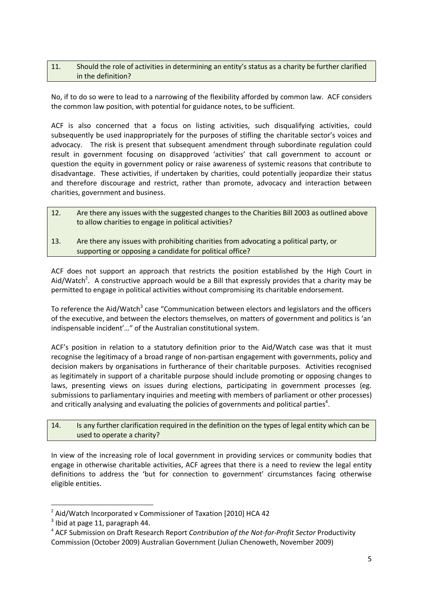#### 11. Should the role of activities in determining an entity's status as a charity be further clarified in the definition?

No, if to do so were to lead to a narrowing of the flexibility afforded by common law. ACF considers the common law position, with potential for guidance notes, to be sufficient.

ACF is also concerned that a focus on listing activities, such disqualifying activities, could subsequently be used inappropriately for the purposes of stifling the charitable sector's voices and advocacy. The risk is present that subsequent amendment through subordinate regulation could result in government focusing on disapproved 'activities' that call government to account or question the equity in government policy or raise awareness of systemic reasons that contribute to disadvantage. These activities, if undertaken by charities, could potentially jeopardize their status and therefore discourage and restrict, rather than promote, advocacy and interaction between charities, government and business.

- 12. Are there any issues with the suggested changes to the Charities Bill 2003 as outlined above to allow charities to engage in political activities?
- 13. Are there any issues with prohibiting charities from advocating a political party, or supporting or opposing a candidate for political office?

ACF does not support an approach that restricts the position established by the High Court in Aid/Watch<sup>2</sup>. A constructive approach would be a Bill that expressly provides that a charity may be permitted to engage in political activities without compromising its charitable endorsement.

To reference the Aid/Watch<sup>3</sup> case "Communication between electors and legislators and the officers of the executive, and between the electors themselves, on matters of government and politics is 'an indispensable incident'…" of the Australian constitutional system.

ACF's position in relation to a statutory definition prior to the Aid/Watch case was that it must recognise the legitimacy of a broad range of non-partisan engagement with governments, policy and decision makers by organisations in furtherance of their charitable purposes. Activities recognised as legitimately in support of a charitable purpose should include promoting or opposing changes to laws, presenting views on issues during elections, participating in government processes (eg. submissions to parliamentary inquiries and meeting with members of parliament or other processes) and critically analysing and evaluating the policies of governments and political parties<sup>4</sup>.

#### 14. Is any further clarification required in the definition on the types of legal entity which can be used to operate a charity?

In view of the increasing role of local government in providing services or community bodies that engage in otherwise charitable activities, ACF agrees that there is a need to review the legal entity definitions to address the 'but for connection to government' circumstances facing otherwise eligible entities.

 2 Aid/Watch Incorporated v Commissioner of Taxation [2010] HCA 42

 $3$  Ibid at page 11, paragraph 44.

<sup>4</sup> ACF Submission on Draft Research Report *Contribution of the Not-for-Profit Sector* Productivity Commission (October 2009) Australian Government (Julian Chenoweth, November 2009)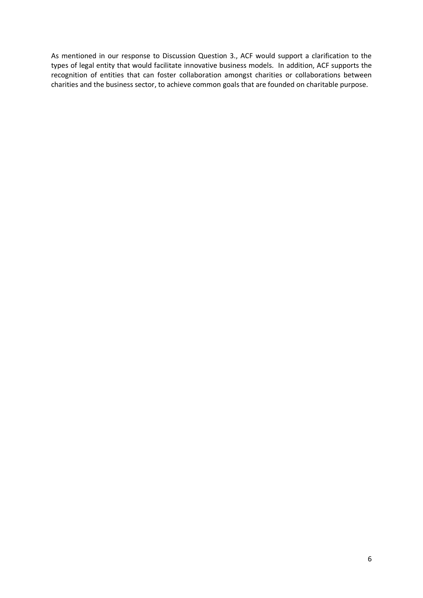As mentioned in our response to Discussion Question 3., ACF would support a clarification to the types of legal entity that would facilitate innovative business models. In addition, ACF supports the recognition of entities that can foster collaboration amongst charities or collaborations between charities and the business sector, to achieve common goals that are founded on charitable purpose.